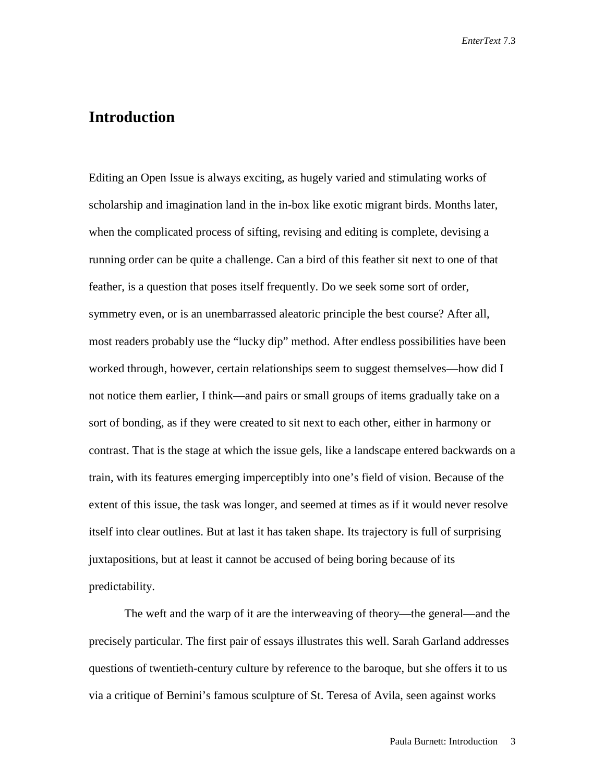## **Introduction**

Editing an Open Issue is always exciting, as hugely varied and stimulating works of scholarship and imagination land in the in-box like exotic migrant birds. Months later, when the complicated process of sifting, revising and editing is complete, devising a running order can be quite a challenge. Can a bird of this feather sit next to one of that feather, is a question that poses itself frequently. Do we seek some sort of order, symmetry even, or is an unembarrassed aleatoric principle the best course? After all, most readers probably use the "lucky dip" method. After endless possibilities have been worked through, however, certain relationships seem to suggest themselves—how did I not notice them earlier, I think—and pairs or small groups of items gradually take on a sort of bonding, as if they were created to sit next to each other, either in harmony or contrast. That is the stage at which the issue gels, like a landscape entered backwards on a train, with its features emerging imperceptibly into one's field of vision. Because of the extent of this issue, the task was longer, and seemed at times as if it would never resolve itself into clear outlines. But at last it has taken shape. Its trajectory is full of surprising juxtapositions, but at least it cannot be accused of being boring because of its predictability.

The weft and the warp of it are the interweaving of theory—the general—and the precisely particular. The first pair of essays illustrates this well. Sarah Garland addresses questions of twentieth-century culture by reference to the baroque, but she offers it to us via a critique of Bernini's famous sculpture of St. Teresa of Avila, seen against works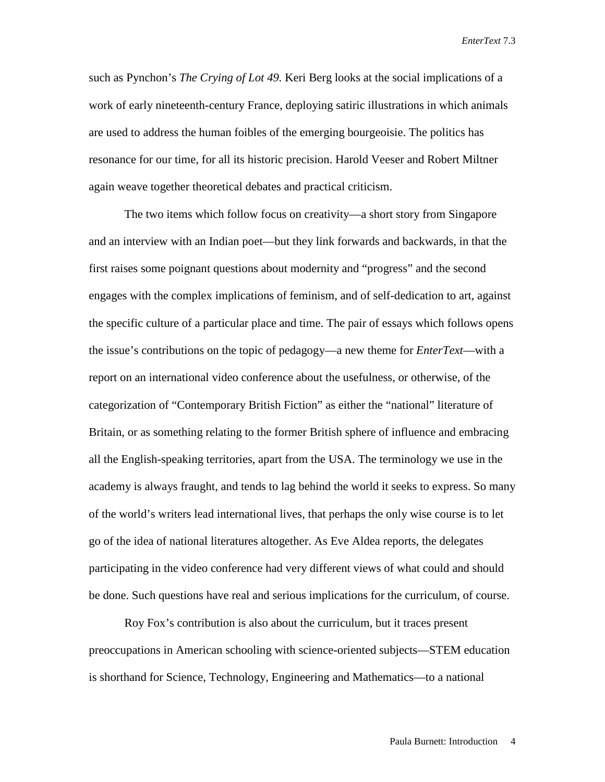such as Pynchon's *The Crying of Lot 49.* Keri Berg looks at the social implications of a work of early nineteenth-century France, deploying satiric illustrations in which animals are used to address the human foibles of the emerging bourgeoisie. The politics has resonance for our time, for all its historic precision. Harold Veeser and Robert Miltner again weave together theoretical debates and practical criticism.

The two items which follow focus on creativity—a short story from Singapore and an interview with an Indian poet—but they link forwards and backwards, in that the first raises some poignant questions about modernity and "progress" and the second engages with the complex implications of feminism, and of self-dedication to art, against the specific culture of a particular place and time. The pair of essays which follows opens the issue's contributions on the topic of pedagogy—a new theme for *EnterText*—with a report on an international video conference about the usefulness, or otherwise, of the categorization of "Contemporary British Fiction" as either the "national" literature of Britain, or as something relating to the former British sphere of influence and embracing all the English-speaking territories, apart from the USA. The terminology we use in the academy is always fraught, and tends to lag behind the world it seeks to express. So many of the world's writers lead international lives, that perhaps the only wise course is to let go of the idea of national literatures altogether. As Eve Aldea reports, the delegates participating in the video conference had very different views of what could and should be done. Such questions have real and serious implications for the curriculum, of course.

Roy Fox's contribution is also about the curriculum, but it traces present preoccupations in American schooling with science-oriented subjects—STEM education is shorthand for Science, Technology, Engineering and Mathematics—to a national

Paula Burnett: Introduction 4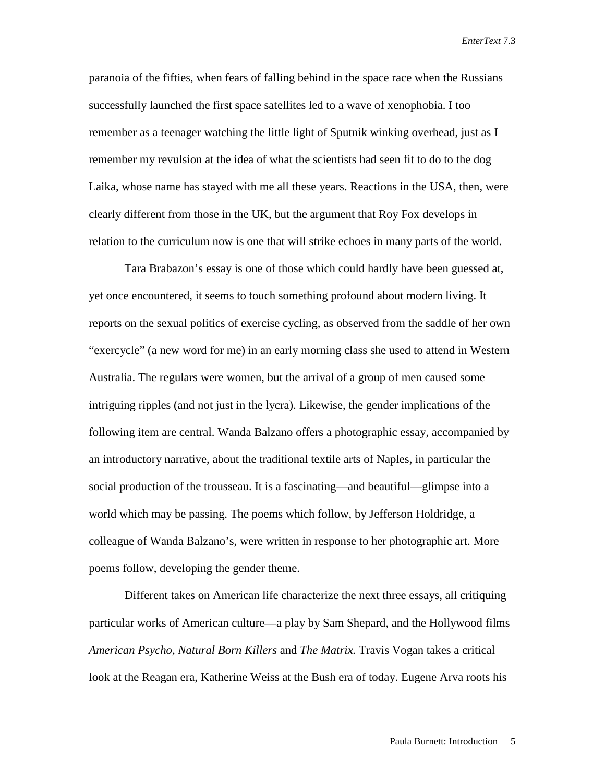paranoia of the fifties, when fears of falling behind in the space race when the Russians successfully launched the first space satellites led to a wave of xenophobia. I too remember as a teenager watching the little light of Sputnik winking overhead, just as I remember my revulsion at the idea of what the scientists had seen fit to do to the dog Laika, whose name has stayed with me all these years. Reactions in the USA, then, were clearly different from those in the UK, but the argument that Roy Fox develops in relation to the curriculum now is one that will strike echoes in many parts of the world.

Tara Brabazon's essay is one of those which could hardly have been guessed at, yet once encountered, it seems to touch something profound about modern living. It reports on the sexual politics of exercise cycling, as observed from the saddle of her own "exercycle" (a new word for me) in an early morning class she used to attend in Western Australia. The regulars were women, but the arrival of a group of men caused some intriguing ripples (and not just in the lycra). Likewise, the gender implications of the following item are central. Wanda Balzano offers a photographic essay, accompanied by an introductory narrative, about the traditional textile arts of Naples, in particular the social production of the trousseau. It is a fascinating—and beautiful—glimpse into a world which may be passing. The poems which follow, by Jefferson Holdridge, a colleague of Wanda Balzano's, were written in response to her photographic art. More poems follow, developing the gender theme.

Different takes on American life characterize the next three essays, all critiquing particular works of American culture—a play by Sam Shepard, and the Hollywood films *American Psycho, Natural Born Killers* and *The Matrix.* Travis Vogan takes a critical look at the Reagan era, Katherine Weiss at the Bush era of today. Eugene Arva roots his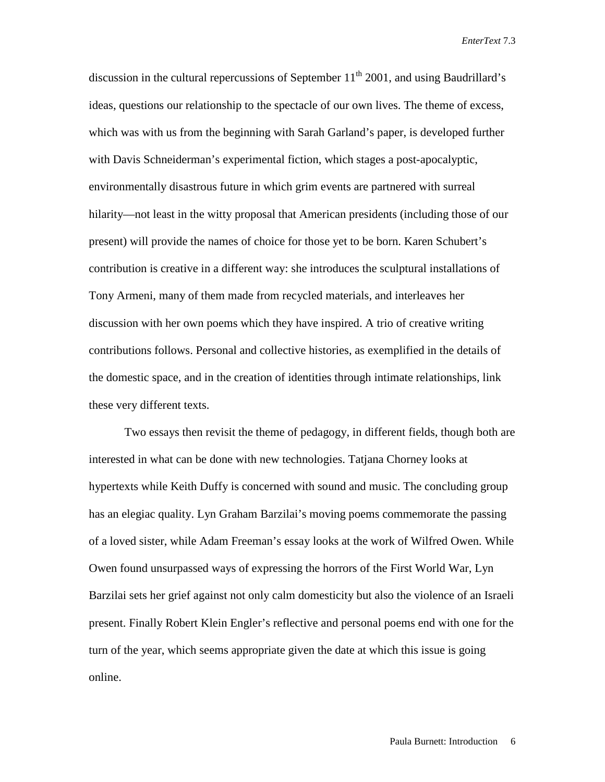discussion in the cultural repercussions of September  $11<sup>th</sup> 2001$ , and using Baudrillard's ideas, questions our relationship to the spectacle of our own lives. The theme of excess, which was with us from the beginning with Sarah Garland's paper, is developed further with Davis Schneiderman's experimental fiction, which stages a post-apocalyptic, environmentally disastrous future in which grim events are partnered with surreal hilarity—not least in the witty proposal that American presidents (including those of our present) will provide the names of choice for those yet to be born. Karen Schubert's contribution is creative in a different way: she introduces the sculptural installations of Tony Armeni, many of them made from recycled materials, and interleaves her discussion with her own poems which they have inspired. A trio of creative writing contributions follows. Personal and collective histories, as exemplified in the details of the domestic space, and in the creation of identities through intimate relationships, link these very different texts.

Two essays then revisit the theme of pedagogy, in different fields, though both are interested in what can be done with new technologies. Tatjana Chorney looks at hypertexts while Keith Duffy is concerned with sound and music. The concluding group has an elegiac quality. Lyn Graham Barzilai's moving poems commemorate the passing of a loved sister, while Adam Freeman's essay looks at the work of Wilfred Owen. While Owen found unsurpassed ways of expressing the horrors of the First World War, Lyn Barzilai sets her grief against not only calm domesticity but also the violence of an Israeli present. Finally Robert Klein Engler's reflective and personal poems end with one for the turn of the year, which seems appropriate given the date at which this issue is going online.